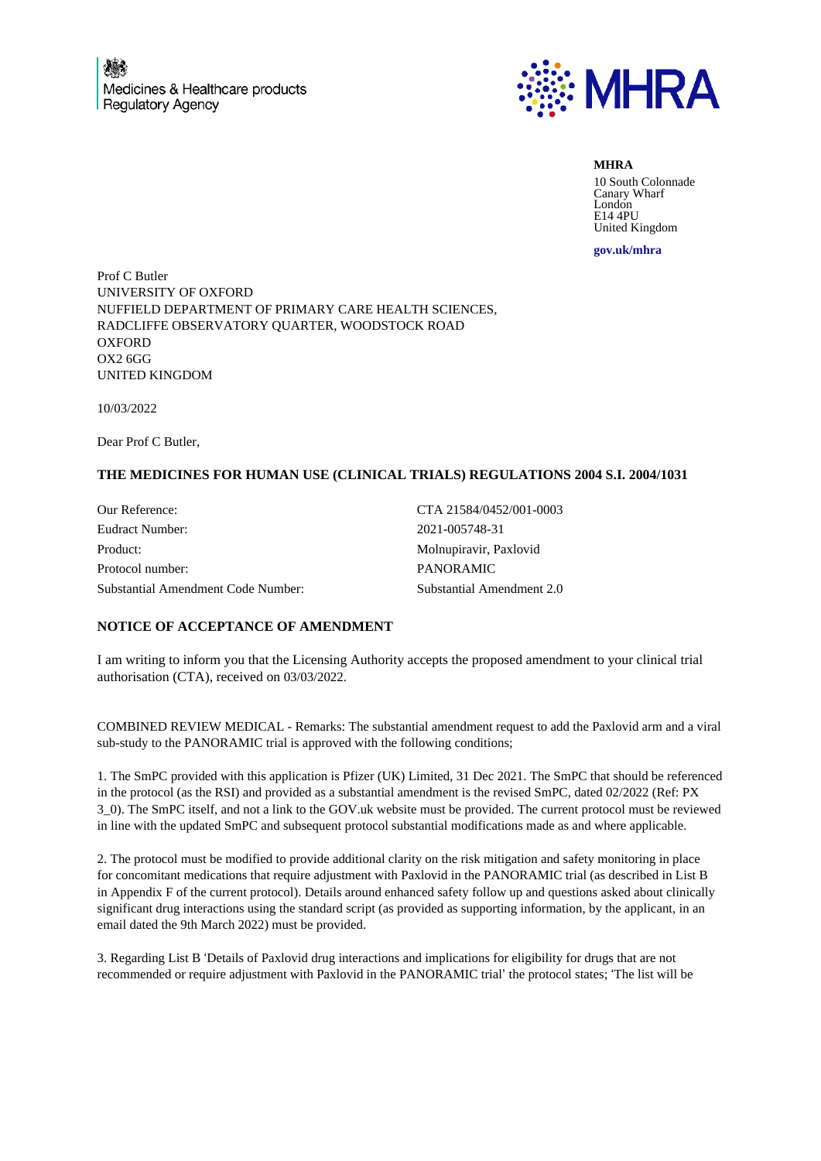

**MHRA** 10 South Colonnade Canary Wharf London E14 4PU United Kingdom

**gov.uk/mhra**

Prof C Butler UNIVERSITY OF OXFORD NUFFIELD DEPARTMENT OF PRIMARY CARE HEALTH SCIENCES, RADCLIFFE OBSERVATORY QUARTER, WOODSTOCK ROAD **OXFORD** OX2 6GG UNITED KINGDOM

10/03/2022

Dear Prof C Butler,

## **THE MEDICINES FOR HUMAN USE (CLINICAL TRIALS) REGULATIONS 2004 S.I. 2004/1031**

Our Reference: CTA 21584/0452/001-0003 Eudract Number: 2021-005748-31 Product: Molnupiravir, Paxlovid Protocol number: PANORAMIC Substantial Amendment Code Number: Substantial Amendment 2.0

## **NOTICE OF ACCEPTANCE OF AMENDMENT**

I am writing to inform you that the Licensing Authority accepts the proposed amendment to your clinical trial authorisation (CTA), received on 03/03/2022.

COMBINED REVIEW MEDICAL - Remarks: The substantial amendment request to add the Paxlovid arm and a viral sub-study to the PANORAMIC trial is approved with the following conditions;

1. The SmPC provided with this application is Pfizer (UK) Limited, 31 Dec 2021. The SmPC that should be referenced in the protocol (as the RSI) and provided as a substantial amendment is the revised SmPC, dated 02/2022 (Ref: PX 3\_0). The SmPC itself, and not a link to the GOV.uk website must be provided. The current protocol must be reviewed in line with the updated SmPC and subsequent protocol substantial modifications made as and where applicable.

2. The protocol must be modified to provide additional clarity on the risk mitigation and safety monitoring in place for concomitant medications that require adjustment with Paxlovid in the PANORAMIC trial (as described in List B in Appendix F of the current protocol). Details around enhanced safety follow up and questions asked about clinically significant drug interactions using the standard script (as provided as supporting information, by the applicant, in an email dated the 9th March 2022) must be provided.

3. Regarding List B 'Details of Paxlovid drug interactions and implications for eligibility for drugs that are not recommended or require adjustment with Paxlovid in the PANORAMIC trial' the protocol states; 'The list will be